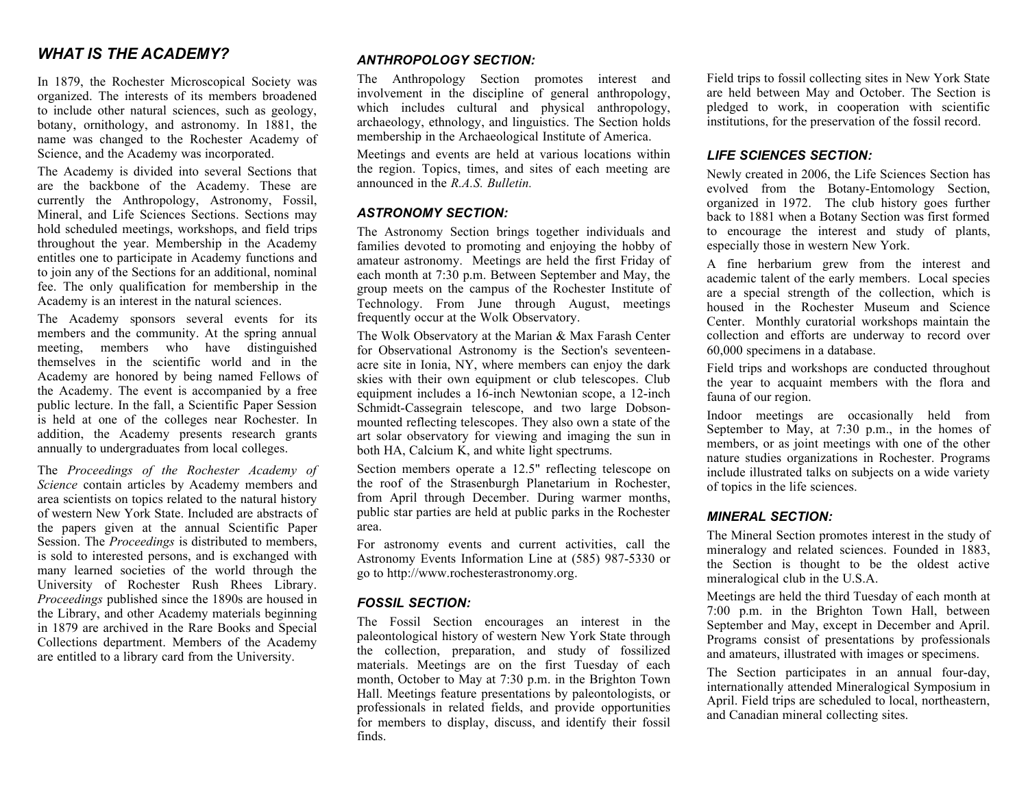## *WHAT IS THE ACADEMY?*

In 1879, the Rochester Microscopical Society was organized. The interests of its members broadened to include other natural sciences, such as geology, botany, ornithology, and astronomy. In 1881, the name was changed to the Rochester Academy of Science, and the Academy was incorporated.

The Academy is divided into several Sections that are the backbone of the Academy. These are currently the Anthropology, Astronomy, Fossil, Mineral, and Life Sciences Sections. Sections may hold scheduled meetings, workshops, and field trips throughout the year. Membership in the Academy entitles one to participate in Academy functions and to join any of the Sections for an additional, nominal fee. The only qualification for membership in the Academy is an interest in the natural sciences.

The Academy sponsors several events for its members and the community. At the spring annual meeting, members who have distinguished themselves in the scientific world and in the Academy are honored by being named Fellows of the Academy. The event is accompanied by a free public lecture. In the fall, a Scientific Paper Session is held at one of the colleges near Rochester. In addition, the Academy presents research grants annually to undergraduates from local colleges.

The *Proceedings of the Rochester Academy of Science* contain articles by Academy members and area scientists on topics related to the natural history of western New York State. Included are abstracts of the papers given at the annual Scientific Paper Session. The *Proceedings* is distributed to members, is sold to interested persons, and is exchanged with many learned societies of the world through the University of Rochester Rush Rhees Library. *Proceedings* published since the 1890s are housed in the Library, and other Academy materials beginning in 1879 are archived in the Rare Books and Special Collections department. Members of the Academy are entitled to a library card from the University.

### *ANTHROPOLOGY SECTION:*

The Anthropology Section promotes interest and involvement in the discipline of general anthropology, which includes cultural and physical anthropology, archaeology, ethnology, and linguistics. The Section holds membership in the Archaeological Institute of America.

Meetings and events are held at various locations within the region. Topics, times, and sites of each meeting are announced in the *R.A.S. Bulletin.*

#### *ASTRONOMY SECTION:*

The Astronomy Section brings together individuals and families devoted to promoting and enjoying the hobby of amateur astronomy. Meetings are held the first Friday of each month at 7:30 p.m. Between September and May, the group meets on the campus of the Rochester Institute of Technology. From June through August, meetings frequently occur at the Wolk Observatory.

The Wolk Observatory at the Marian & Max Farash Center for Observational Astronomy is the Section's seventeenacre site in Ionia, NY, where members can enjoy the dark skies with their own equipment or club telescopes. Club equipment includes a 16-inch Newtonian scope, a 12-inch Schmidt-Cassegrain telescope, and two large Dobsonmounted reflecting telescopes. They also own a state of the art solar observatory for viewing and imaging the sun in both HA, Calcium K, and white light spectrums.

Section members operate a 12.5" reflecting telescope on the roof of the Strasenburgh Planetarium in Rochester, from April through December. During warmer months, public star parties are held at public parks in the Rochester area.

For astronomy events and current activities, call the Astronomy Events Information Line at (585) 987-5330 or go to http://www.rochesterastronomy.org.

#### *FOSSIL SECTION:*

The Fossil Section encourages an interest in the paleontological history of western New York State through the collection, preparation, and study of fossilized materials. Meetings are on the first Tuesday of each month, October to May at 7:30 p.m. in the Brighton Town Hall. Meetings feature presentations by paleontologists, or professionals in related fields, and provide opportunities for members to display, discuss, and identify their fossil finds.

Field trips to fossil collecting sites in New York State are held between May and October. The Section is pledged to work, in cooperation with scientific institutions, for the preservation of the fossil record.

#### *LIFE SCIENCES SECTION:*

Newly created in 2006, the Life Sciences Section has evolved from the Botany-Entomology Section, organized in 1972. The club history goes further back to 1881 when a Botany Section was first formed to encourage the interest and study of plants, especially those in western New York.

A fine herbarium grew from the interest and academic talent of the early members. Local species are a special strength of the collection, which is housed in the Rochester Museum and Science Center. Monthly curatorial workshops maintain the collection and efforts are underway to record over 60,000 specimens in a database.

Field trips and workshops are conducted throughout the year to acquaint members with the flora and fauna of our region.

Indoor meetings are occasionally held from September to May, at 7:30 p.m., in the homes of members, or as joint meetings with one of the other nature studies organizations in Rochester. Programs include illustrated talks on subjects on a wide variety of topics in the life sciences.

#### *MINERAL SECTION:*

The Mineral Section promotes interest in the study of mineralogy and related sciences. Founded in 1883, the Section is thought to be the oldest active mineralogical club in the U.S.A.

Meetings are held the third Tuesday of each month at 7:00 p.m. in the Brighton Town Hall, between September and May, except in December and April. Programs consist of presentations by professionals and amateurs, illustrated with images or specimens.

The Section participates in an annual four-day, internationally attended Mineralogical Symposium in April. Field trips are scheduled to local, northeastern, and Canadian mineral collecting sites.